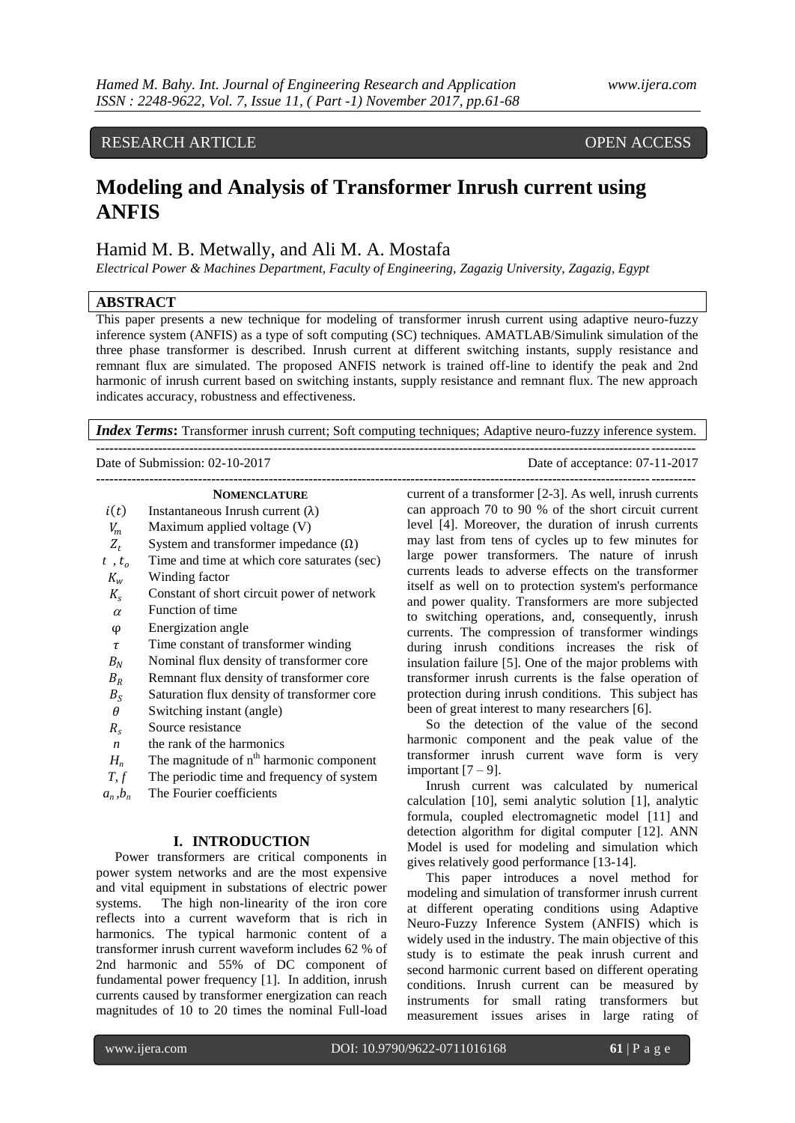# RESEARCH ARTICLE OPEN ACCESS

# **Modeling and Analysis of Transformer Inrush current using ANFIS**

# Hamid M. B. Metwally, and Ali M. A. Mostafa

*Electrical Power & Machines Department, Faculty of Engineering, Zagazig University, Zagazig, Egypt*

# **ABSTRACT**

This paper presents a new technique for modeling of transformer inrush current using adaptive neuro-fuzzy inference system (ANFIS) as a type of soft computing (SC) techniques. AMATLAB/Simulink simulation of the three phase transformer is described. Inrush current at different switching instants, supply resistance and remnant flux are simulated. The proposed ANFIS network is trained off-line to identify the peak and 2nd harmonic of inrush current based on switching instants, supply resistance and remnant flux. The new approach indicates accuracy, robustness and effectiveness.

*Index Terms***:** Transformer inrush current; Soft computing techniques; Adaptive neuro-fuzzy inference system.

| <b>When convenient</b> a more on the | $\mathcal{C}$ , $\mathcal{C}$ , $\mathcal{C}$ , $\mathcal{C}$ , $\mathcal{C}$ , $\mathcal{C}$ , $\mathcal{C}$ , $\mathcal{C}$ , $\mathcal{C}$ , $\mathcal{C}$ , $\mathcal{C}$ , $\mathcal{C}$ , $\mathcal{C}$ , $\mathcal{C}$ , $\mathcal{C}$ , $\mathcal{C}$ , $\mathcal{C}$ , $\mathcal{C}$ , $\mathcal{C}$ , $\mathcal{C}$ , |
|--------------------------------------|---------------------------------------------------------------------------------------------------------------------------------------------------------------------------------------------------------------------------------------------------------------------------------------------------------------------------------|
| Date of Submission: 02-10-2017       | Date of acceptance: 07-11-2017                                                                                                                                                                                                                                                                                                  |
|                                      |                                                                                                                                                                                                                                                                                                                                 |

#### **NOMENCLATURE**

- $i(t)$  Instantaneous Inrush current (λ)
- $V_m$  Maximum applied voltage (V)
- $Z_t$  System and transformer impedance  $(\Omega)$
- $t$ ,  $t<sub>o</sub>$  Time and time at which core saturates (sec)  $K_w$  Winding factor
- $K<sub>s</sub>$  Constant of short circuit power of network
- $\alpha$  Function of time
- φ Energization angle
- $\tau$  Time constant of transformer winding
- $B_N$  Nominal flux density of transformer core
- $B_R$  Remnant flux density of transformer core
- $B_S$  Saturation flux density of transformer core<br>  $\theta$  Switching instant (angle)
- Switching instant (angle)
- $R<sub>s</sub>$  Source resistance
- *n* the rank of the harmonics
- $H_n$  The magnitude of  $n<sup>th</sup>$  harmonic component
- *T, f* The periodic time and frequency of system
- $a_n$ , $b_n$  The Fourier coefficients

#### **I. INTRODUCTION**

Power transformers are critical components in power system networks and are the most expensive and vital equipment in substations of electric power systems. The high non-linearity of the iron core reflects into a current waveform that is rich in harmonics. The typical harmonic content of a transformer inrush current waveform includes 62 % of 2nd harmonic and 55% of DC component of fundamental power frequency [1]. In addition, inrush currents caused by transformer energization can reach magnitudes of 10 to 20 times the nominal Full-load

current of a transformer [2-3]. As well, inrush currents can approach 70 to 90 % of the short circuit current level [4]. Moreover, the duration of inrush currents may last from tens of cycles up to few minutes for large power transformers. The nature of inrush currents leads to adverse effects on the transformer itself as well on to protection system's performance and power quality. Transformers are more subjected to switching operations, and, consequently, inrush currents. The compression of transformer windings during inrush conditions increases the risk of insulation failure [5]. One of the major problems with transformer inrush currents is the false operation of protection during inrush conditions. This subject has been of great interest to many researchers [6].

So the detection of the value of the second harmonic component and the peak value of the transformer inrush current wave form is very important  $[7 - 9]$ .

Inrush current was calculated by numerical calculation [10], semi analytic solution [1], analytic formula, coupled electromagnetic model [11] and detection algorithm for digital computer [12]. ANN Model is used for modeling and simulation which gives relatively good performance [13-14].

This paper introduces a novel method for modeling and simulation of transformer inrush current at different operating conditions using Adaptive Neuro-Fuzzy Inference System (ANFIS) which is widely used in the industry. The main objective of this study is to estimate the peak inrush current and second harmonic current based on different operating conditions. Inrush current can be measured by instruments for small rating transformers but measurement issues arises in large rating of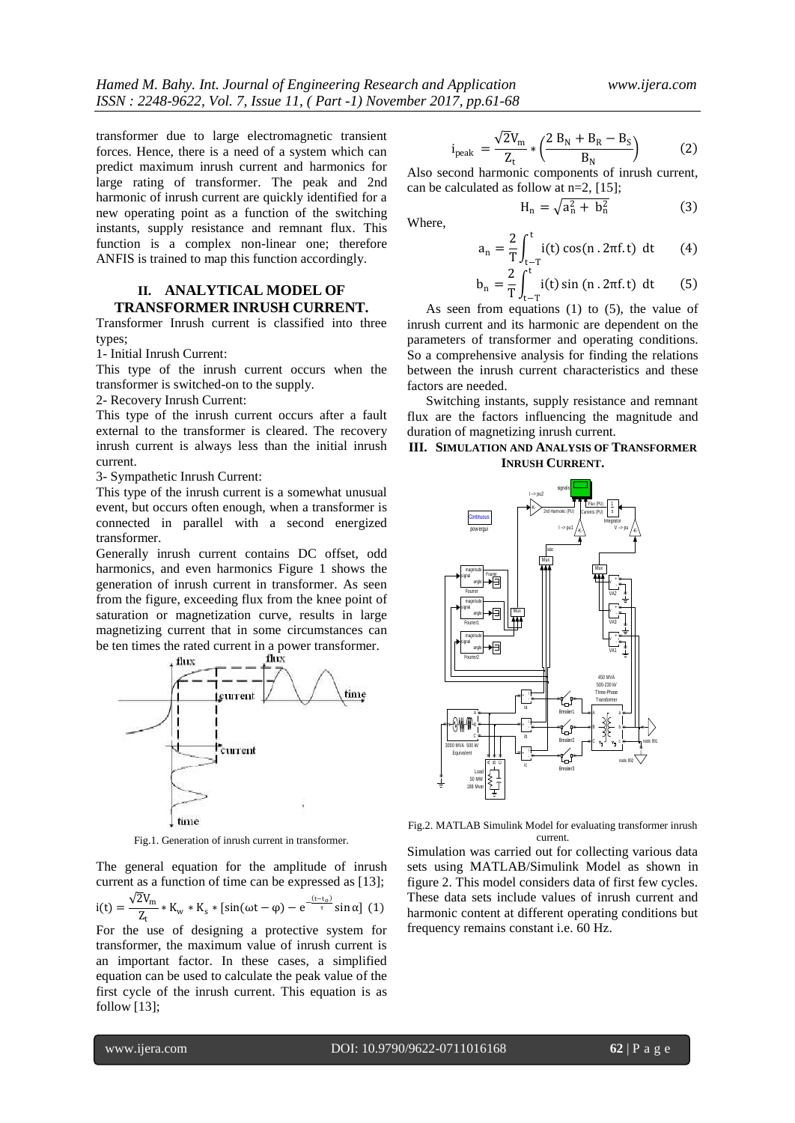$(3)$ 

transformer due to large electromagnetic transient forces. Hence, there is a need of a system which can predict maximum inrush current and harmonics for large rating of transformer. The peak and 2nd harmonic of inrush current are quickly identified for a new operating point as a function of the switching instants, supply resistance and remnant flux. This function is a complex non-linear one; therefore ANFIS is trained to map this function accordingly.

## **II. ANALYTICAL MODEL OF TRANSFORMER INRUSH CURRENT.**

Transformer Inrush current is classified into three types;

1- Initial Inrush Current:

This type of the inrush current occurs when the transformer is switched-on to the supply.

2- Recovery Inrush Current:

This type of the inrush current occurs after a fault external to the transformer is cleared. The recovery inrush current is always less than the initial inrush current.

3- Sympathetic Inrush Current:

This type of the inrush current is a somewhat unusual event, but occurs often enough, when a transformer is connected in parallel with a second energized transformer.

Generally inrush current contains DC offset, odd harmonics, and even harmonics Figure 1 shows the generation of inrush current in transformer. As seen from the figure, exceeding flux from the knee point of saturation or magnetization curve, results in large magnetizing current that in some circumstances can be ten times the rated current in a power transformer.



Fig.1. Generation of inrush current in transformer.

The general equation for the amplitude of inrush current as a function of time can be expressed as [13];  $i(t) = \frac{\sqrt{2}V_m}{7}$  $\frac{2V_{\text{m}}}{Z_{\text{t}}}$  \* K<sub>w</sub> \* K<sub>s</sub> \* [sin(ωt − φ) − e<sup>-(t-t</sup><sub>0</sub>)</sub> sin α] (1) For the use of designing a protective system for

transformer, the maximum value of inrush current is an important factor. In these cases, a simplified equation can be used to calculate the peak value of the first cycle of the inrush current. This equation is as follow [13];

$$
i_{\text{peak}} = \frac{\sqrt{2}V_{\text{m}}}{Z_{\text{t}}} * \left(\frac{2 B_{\text{N}} + B_{\text{R}} - B_{\text{S}}}{B_{\text{N}}}\right) \tag{2}
$$

Also second harmonic components of inrush current, can be calculated as follow at n=2, [15];

 $H_n = \sqrt{a_n^2 + b_n^2}$ 

Where,

$$
a_n = \frac{2}{T} \int_{t-T}^{t} i(t) \cos(n \cdot 2\pi f, t) dt
$$
 (4)

$$
b_n = \frac{2}{T} \int_{t-T}^{t} i(t) \sin (n \cdot 2\pi f \cdot t) dt
$$
 (5)

As seen from equations (1) to (5), the value of inrush current and its harmonic are dependent on the parameters of transformer and operating conditions. So a comprehensive analysis for finding the relations between the inrush current characteristics and these factors are needed.

Switching instants, supply resistance and remnant flux are the factors influencing the magnitude and duration of magnetizing inrush current.

**III. SIMULATION AND ANALYSIS OF TRANSFORMER INRUSH CURRENT.**



Fig.2. MATLAB Simulink Model for evaluating transformer inrush current.

Simulation was carried out for collecting various data sets using MATLAB/Simulink Model as shown in figure 2. This model considers data of first few cycles. These data sets include values of inrush current and harmonic content at different operating conditions but frequency remains constant i.e. 60 Hz.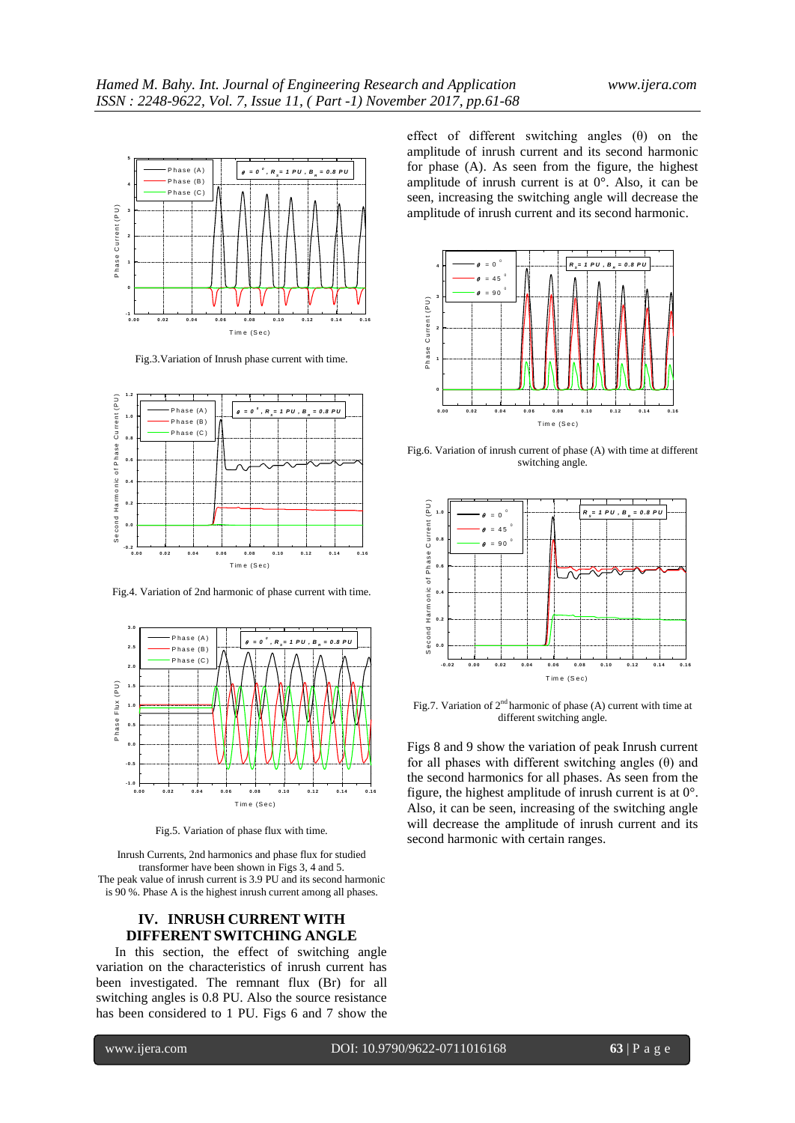

Fig.3.Variation of Inrush phase current with time.



Fig.4. Variation of 2nd harmonic of phase current with time.



Fig.5. Variation of phase flux with time.

Inrush Currents, 2nd harmonics and phase flux for studied transformer have been shown in Figs 3, 4 and 5. The peak value of inrush current is 3.9 PU and its second harmonic is 90 %. Phase A is the highest inrush current among all phases.

## **IV. INRUSH CURRENT WITH DIFFERENT SWITCHING ANGLE**

In this section, the effect of switching angle variation on the characteristics of inrush current has been investigated. The remnant flux (Br) for all switching angles is 0.8 PU. Also the source resistance has been considered to 1 PU. Figs 6 and 7 show the effect of different switching angles (θ) on the amplitude of inrush current and its second harmonic for phase (A). As seen from the figure, the highest amplitude of inrush current is at 0°. Also, it can be seen, increasing the switching angle will decrease the amplitude of inrush current and its second harmonic.



Fig.6. Variation of inrush current of phase (A) with time at different switching angle.



Fig.7. Variation of  $2<sup>nd</sup>$  harmonic of phase (A) current with time at different switching angle.

Figs 8 and 9 show the variation of peak Inrush current for all phases with different switching angles (θ) and the second harmonics for all phases. As seen from the figure, the highest amplitude of inrush current is at 0°. Also, it can be seen, increasing of the switching angle will decrease the amplitude of inrush current and its second harmonic with certain ranges.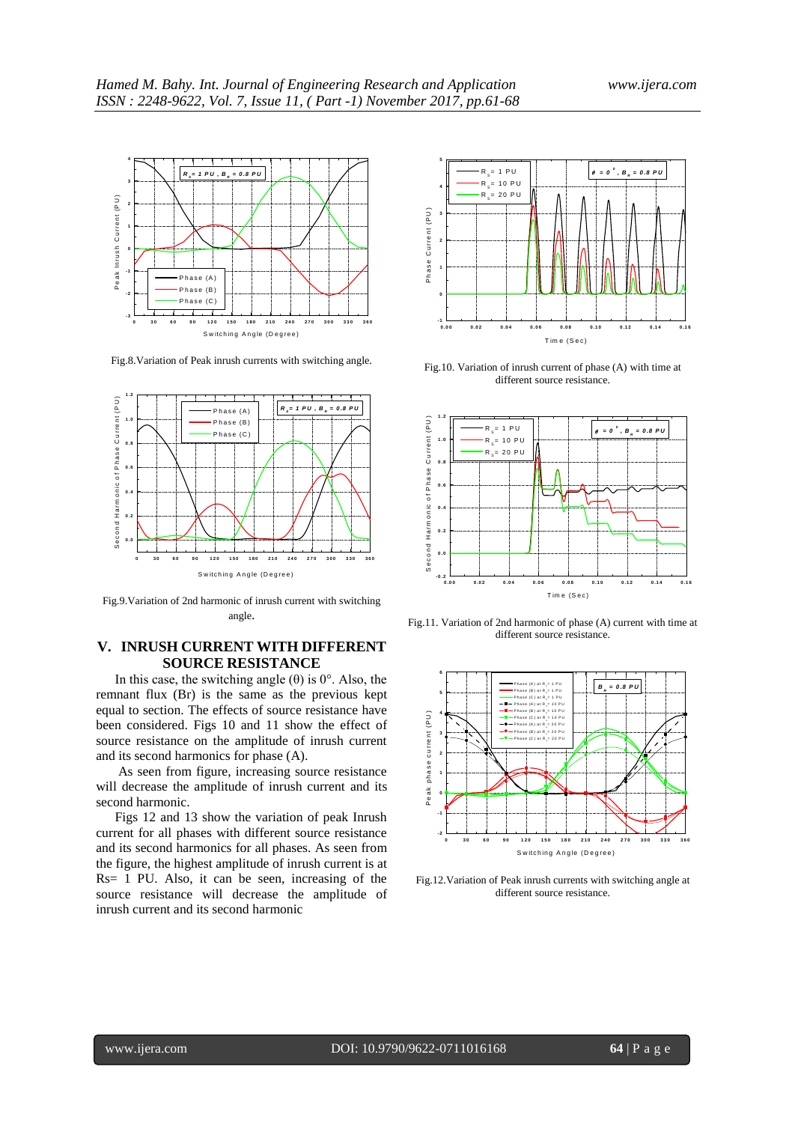

Fig.8.Variation of Peak inrush currents with switching angle.



Fig.9.Variation of 2nd harmonic of inrush current with switching angle.

### **V. INRUSH CURRENT WITH DIFFERENT SOURCE RESISTANCE**

In this case, the switching angle  $(\theta)$  is 0°. Also, the remnant flux (Br) is the same as the previous kept equal to section. The effects of source resistance have been considered. Figs 10 and 11 show the effect of source resistance on the amplitude of inrush current and its second harmonics for phase (A).

As seen from figure, increasing source resistance will decrease the amplitude of inrush current and its second harmonic.

Figs 12 and 13 show the variation of peak Inrush current for all phases with different source resistance and its second harmonics for all phases. As seen from the figure, the highest amplitude of inrush current is at Rs= 1 PU. Also, it can be seen, increasing of the source resistance will decrease the amplitude of inrush current and its second harmonic



Fig.10. Variation of inrush current of phase (A) with time at different source resistance.



Fig.11. Variation of 2nd harmonic of phase (A) current with time at different source resistance.



Fig.12.Variation of Peak inrush currents with switching angle at different source resistance.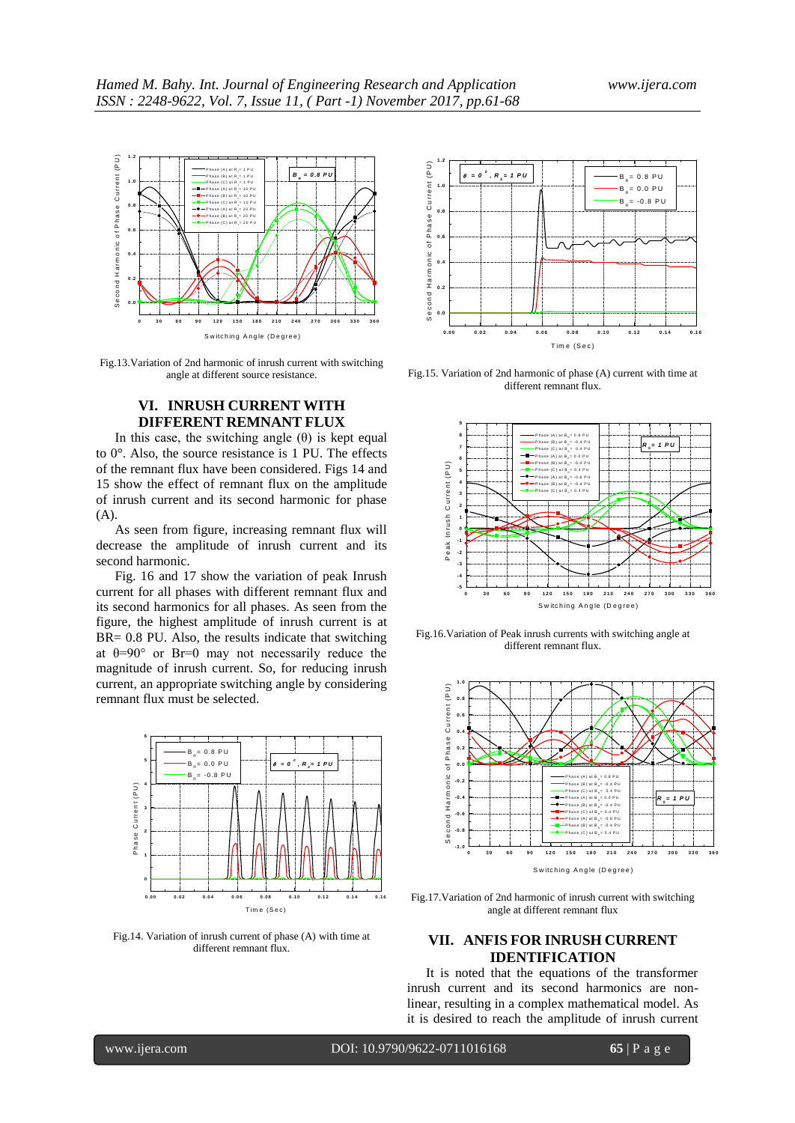

Fig.13.Variation of 2nd harmonic of inrush current with switching angle at different source resistance.

# **VI. INRUSH CURRENT WITH DIFFERENT REMNANT FLUX**

In this case, the switching angle  $(\theta)$  is kept equal to 0°. Also, the source resistance is 1 PU. The effects of the remnant flux have been considered. Figs 14 and 15 show the effect of remnant flux on the amplitude of inrush current and its second harmonic for phase (A).

As seen from figure, increasing remnant flux will decrease the amplitude of inrush current and its second harmonic.

Fig. 16 and 17 show the variation of peak Inrush current for all phases with different remnant flux and its second harmonics for all phases. As seen from the figure, the highest amplitude of inrush current is at BR= 0.8 PU. Also, the results indicate that switching at θ=90° or Br=0 may not necessarily reduce the magnitude of inrush current. So, for reducing inrush current, an appropriate switching angle by considering remnant flux must be selected.



Fig.14. Variation of inrush current of phase (A) with time at different remnant flux.



Fig.15. Variation of 2nd harmonic of phase (A) current with time at different remnant flux.



Fig.16.Variation of Peak inrush currents with switching angle at different remnant flux.



Fig.17.Variation of 2nd harmonic of inrush current with switching angle at different remnant flux

## **VII. ANFIS FOR INRUSH CURRENT IDENTIFICATION**

It is noted that the equations of the transformer inrush current and its second harmonics are nonlinear, resulting in a complex mathematical model. As it is desired to reach the amplitude of inrush current

www.ijera.com DOI: 10.9790/9622-0711016168 **65** | P a g e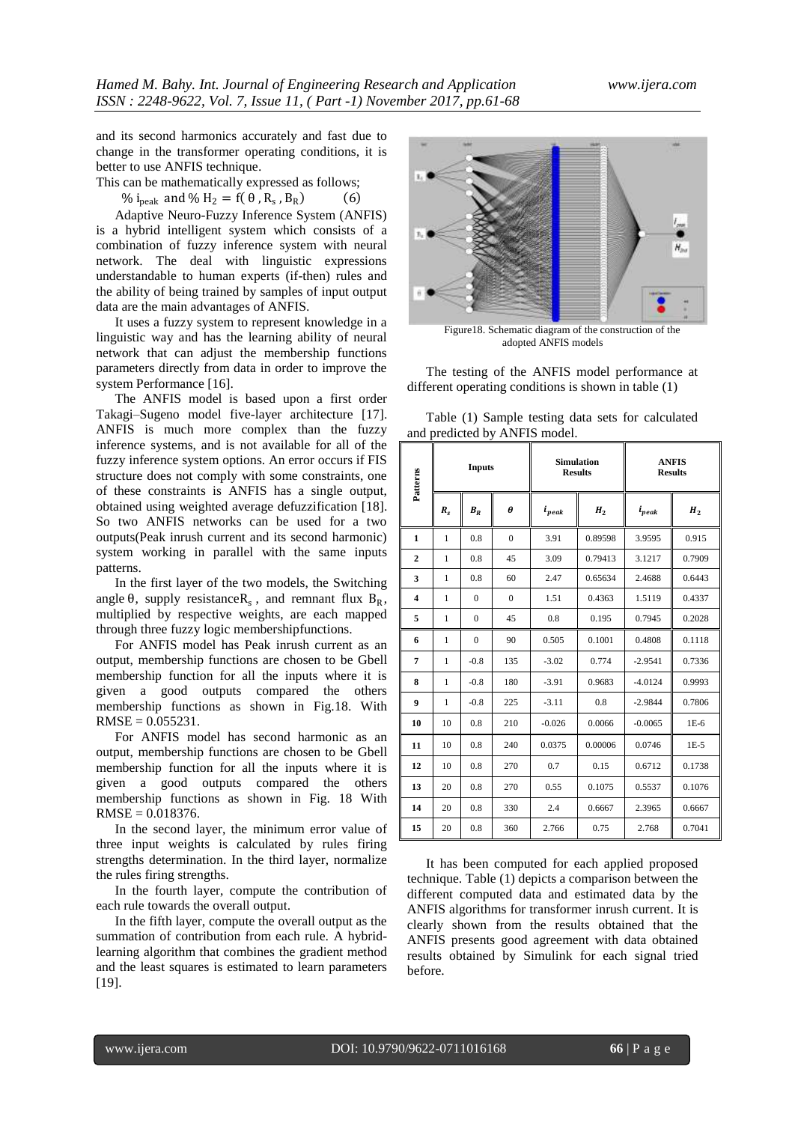and its second harmonics accurately and fast due to change in the transformer operating conditions, it is better to use ANFIS technique.

This can be mathematically expressed as follows;

% i<sub>peak</sub> and %  $H_2 = f(\theta, R_s, B_R)$  $(6)$ 

Adaptive Neuro-Fuzzy Inference System (ANFIS) is a hybrid intelligent system which consists of a combination of fuzzy inference system with neural network. The deal with linguistic expressions understandable to human experts (if-then) rules and the ability of being trained by samples of input output data are the main advantages of ANFIS.

It uses a fuzzy system to represent knowledge in a linguistic way and has the learning ability of neural network that can adjust the membership functions parameters directly from data in order to improve the system Performance [16].

The ANFIS model is based upon a first order Takagi–Sugeno model five-layer architecture [17]. ANFIS is much more complex than the fuzzy inference systems, and is not available for all of the fuzzy inference system options. An error occurs if FIS structure does not comply with some constraints, one of these constraints is ANFIS has a single output, obtained using weighted average defuzzification [18]. So two ANFIS networks can be used for a two outputs(Peak inrush current and its second harmonic) system working in parallel with the same inputs patterns.

In the first layer of the two models, the Switching angle  $\theta$ , supply resistance R<sub>s</sub>, and remnant flux B<sub>R</sub>, multiplied by respective weights, are each mapped through three fuzzy logic membershipfunctions.

For ANFIS model has Peak inrush current as an output, membership functions are chosen to be Gbell membership function for all the inputs where it is given a good outputs compared the others membership functions as shown in Fig.18. With  $RMSE = 0.055231$ .

For ANFIS model has second harmonic as an output, membership functions are chosen to be Gbell membership function for all the inputs where it is given a good outputs compared the others membership functions as shown in Fig. 18 With  $RMSE = 0.018376.$ 

In the second layer, the minimum error value of three input weights is calculated by rules firing strengths determination. In the third layer, normalize the rules firing strengths.

In the fourth layer, compute the contribution of each rule towards the overall output.

In the fifth layer, compute the overall output as the summation of contribution from each rule. A hybridlearning algorithm that combines the gradient method and the least squares is estimated to learn parameters [19].



Figure18. Schematic diagram of the construction of the adopted ANFIS models

The testing of the ANFIS model performance at different operating conditions is shown in table (1)

|  |                               |  |  | Table (1) Sample testing data sets for calculated |  |
|--|-------------------------------|--|--|---------------------------------------------------|--|
|  | and predicted by ANFIS model. |  |  |                                                   |  |

| Patterns       | <b>Inputs</b> |                    | <b>Simulation</b><br><b>Results</b> |            | <b>ANFIS</b><br><b>Results</b> |            |                    |
|----------------|---------------|--------------------|-------------------------------------|------------|--------------------------------|------------|--------------------|
|                | $R_{s}$       | $\boldsymbol{B}_R$ | $\theta$                            | $i_{peak}$ | $\boldsymbol{H}_2$             | $i_{peak}$ | $\boldsymbol{H}_2$ |
| 1              | 1             | 0.8                | $\overline{0}$                      | 3.91       | 0.89598                        | 3.9595     | 0.915              |
| $\overline{2}$ | 1             | 0.8                | 45                                  | 3.09       | 0.79413                        | 3.1217     | 0.7909             |
| 3              | 1             | 0.8                | 60                                  | 2.47       | 0.65634                        | 2.4688     | 0.6443             |
| 4              | 1             | $\Omega$           | $\Omega$                            | 1.51       | 0.4363                         | 1.5119     | 0.4337             |
| 5              | 1             | $\Omega$           | 45                                  | 0.8        | 0.195                          | 0.7945     | 0.2028             |
| 6              | 1             | $\theta$           | 90                                  | 0.505      | 0.1001                         | 0.4808     | 0.1118             |
| 7              | 1             | $-0.8$             | 135                                 | $-3.02$    | 0.774                          | $-2.9541$  | 0.7336             |
| 8              | 1             | $-0.8$             | 180                                 | $-3.91$    | 0.9683                         | $-4.0124$  | 0.9993             |
| 9              | 1             | $-0.8$             | 225                                 | $-3.11$    | 0.8                            | $-2.9844$  | 0.7806             |
| 10             | 10            | 0.8                | 210                                 | $-0.026$   | 0.0066                         | $-0.0065$  | $1E-6$             |
| 11             | 10            | 0.8                | 240                                 | 0.0375     | 0.00006                        | 0.0746     | $1E-5$             |
| 12             | 10            | 0.8                | 270                                 | 0.7        | 0.15                           | 0.6712     | 0.1738             |
| 13             | 20            | 0.8                | 270                                 | 0.55       | 0.1075                         | 0.5537     | 0.1076             |
| 14             | 20            | 0.8                | 330                                 | 2.4        | 0.6667                         | 2.3965     | 0.6667             |
| 15             | 20            | 0.8                | 360                                 | 2.766      | 0.75                           | 2.768      | 0.7041             |

It has been computed for each applied proposed technique. Table (1) depicts a comparison between the different computed data and estimated data by the ANFIS algorithms for transformer inrush current. It is clearly shown from the results obtained that the ANFIS presents good agreement with data obtained results obtained by Simulink for each signal tried before.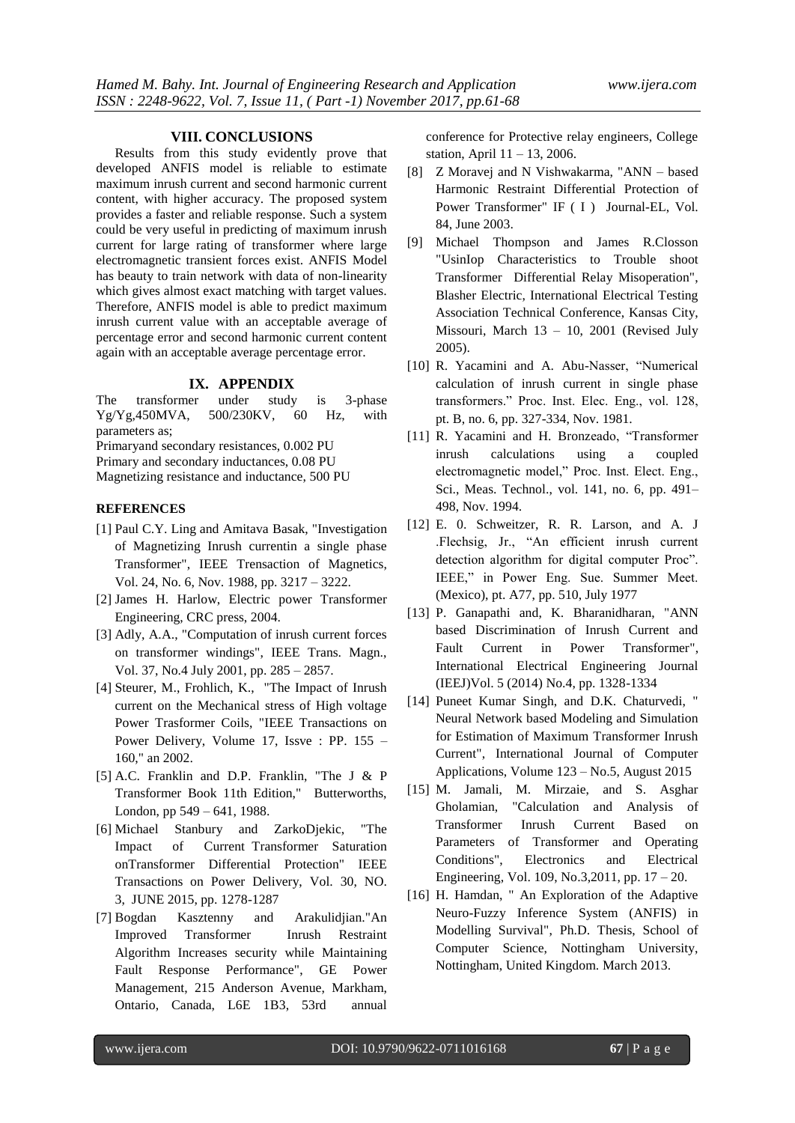#### **VIII. CONCLUSIONS**

Results from this study evidently prove that developed ANFIS model is reliable to estimate maximum inrush current and second harmonic current content, with higher accuracy. The proposed system provides a faster and reliable response. Such a system could be very useful in predicting of maximum inrush current for large rating of transformer where large electromagnetic transient forces exist. ANFIS Model has beauty to train network with data of non-linearity which gives almost exact matching with target values. Therefore, ANFIS model is able to predict maximum inrush current value with an acceptable average of percentage error and second harmonic current content again with an acceptable average percentage error.

#### **IX. APPENDIX**

The transformer under study is 3-phase Yg/Yg,450MVA, 500/230KV, 60 Hz, with parameters as;

Primaryand secondary resistances, 0.002 PU

Primary and secondary inductances, 0.08 PU

Magnetizing resistance and inductance, 500 PU

#### **REFERENCES**

- [1] Paul C.Y. Ling and Amitava Basak, "Investigation of Magnetizing Inrush currentin a single phase Transformer", IEEE Trensaction of Magnetics, Vol. 24, No. 6, Nov. 1988, pp. 3217 – 3222.
- [2] James H. Harlow, Electric power Transformer Engineering, CRC press, 2004.
- [3] Adly, A.A., "Computation of inrush current forces on transformer windings", IEEE Trans. Magn., Vol. 37, No.4 July 2001, pp. 285 – 2857.
- [4] Steurer, M., Frohlich, K., "The Impact of Inrush current on the Mechanical stress of High voltage Power Trasformer Coils, "IEEE Transactions on Power Delivery, Volume 17, Issve : PP. 155 – 160," an 2002.
- [5] A.C. Franklin and D.P. Franklin, "The J & P Transformer Book 11th Edition," Butterworths, London, pp 549 – 641, 1988.
- [6] Michael Stanbury and ZarkoDjekic, "The Impact of Current Transformer Saturation onTransformer Differential Protection" IEEE Transactions on Power Delivery, Vol. 30, NO. 3, JUNE 2015, pp. 1278-1287
- [7] Bogdan Kasztenny and Arakulidjian."An Improved Transformer Inrush Restraint Algorithm Increases security while Maintaining Fault Response Performance", GE Power Management, 215 Anderson Avenue, Markham, Ontario, Canada, L6E 1B3, 53rd annual

conference for Protective relay engineers, College station, April 11 – 13, 2006.

- [8] Z Moravej and N Vishwakarma, "ANN based Harmonic Restraint Differential Protection of Power Transformer" IF ( I ) Journal-EL, Vol. 84, June 2003.
- [9] Michael Thompson and James R.Closson "UsinIop Characteristics to Trouble shoot Transformer Differential Relay Misoperation", Blasher Electric, International Electrical Testing Association Technical Conference, Kansas City, Missouri, March 13 – 10, 2001 (Revised July 2005).
- [10] R. Yacamini and A. Abu-Nasser, "Numerical calculation of inrush current in single phase transformers." Proc. Inst. Elec. Eng., vol. 128, pt. B, no. 6, pp. 327-334, Nov. 1981.
- [11] R. Yacamini and H. Bronzeado, "Transformer inrush calculations using a coupled electromagnetic model," Proc. Inst. Elect. Eng., Sci., Meas. Technol., vol. 141, no. 6, pp. 491– 498, Nov. 1994.
- [12] E. 0. Schweitzer, R. R. Larson, and A. J .Flechsig, Jr., "An efficient inrush current detection algorithm for digital computer Proc". IEEE," in Power Eng. Sue. Summer Meet. (Mexico), pt. A77, pp. 510, July 1977
- [13] P. Ganapathi and, K. Bharanidharan, "ANN based Discrimination of Inrush Current and Fault Current in Power Transformer", International Electrical Engineering Journal (IEEJ)Vol. 5 (2014) No.4, pp. 1328-1334
- [14] Puneet Kumar Singh, and D.K. Chaturvedi, " Neural Network based Modeling and Simulation for Estimation of Maximum Transformer Inrush Current", International Journal of Computer Applications, Volume 123 – No.5, August 2015
- [15] M. Jamali, M. Mirzaie, and S. Asghar Gholamian, "Calculation and Analysis of Transformer Inrush Current Based on Parameters of Transformer and Operating Conditions", Electronics and Electrical Engineering, Vol. 109, No.3,2011, pp. 17 – 20.
- [16] H. Hamdan, " An Exploration of the Adaptive Neuro-Fuzzy Inference System (ANFIS) in Modelling Survival", Ph.D. Thesis, School of Computer Science, Nottingham University, Nottingham, United Kingdom. March 2013.